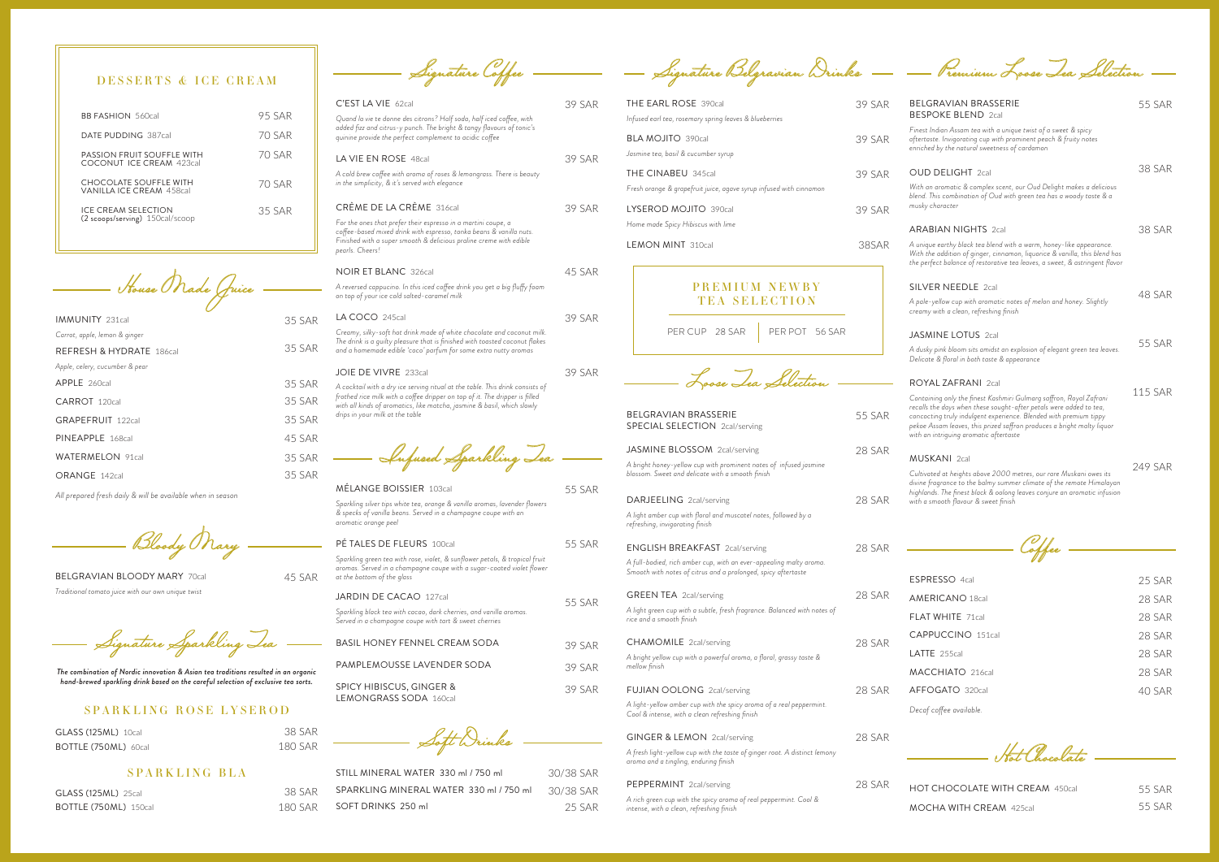| C'EST LA VIE 62cal                                                                                                                                                                                                                                                         | <b>39 SAR</b> |
|----------------------------------------------------------------------------------------------------------------------------------------------------------------------------------------------------------------------------------------------------------------------------|---------------|
| Quand la vie te donne des citrons? Half soda, half iced coffee, with<br>added fizz and citrus-y punch. The bright & tangy flavours of tonic's<br>quinine provide the perfect complement to acidic coffee                                                                   |               |
| LA VIE EN ROSE 48cal                                                                                                                                                                                                                                                       | 39 SAR        |
| A cold brew coffee with aroma of roses & lemongrass. There is beauty<br>in the simplicity, & it's served with elegance                                                                                                                                                     |               |
| CRÈME DE LA CRÈME 316cal                                                                                                                                                                                                                                                   | <b>39 SAR</b> |
| For the ones that prefer their espresso in a martini coupe, a<br>coffee-based mixed drink with espresso, tonka beans & vanilla nuts.<br>Finished with a super smooth & delicious praline creme with edible<br>pearls. Cheers!                                              |               |
| <b>NOIR ET BLANC</b> 326cal                                                                                                                                                                                                                                                | 45 SAR        |
| A reversed cappucino. In this iced coffee drink you get a big fluffy foam<br>on top of your ice cold salted-caramel milk                                                                                                                                                   |               |
| LA COCO 245cal                                                                                                                                                                                                                                                             | <b>39 SAR</b> |
| Creamy, silky-soft hot drink made of white chocolate and coconut milk.<br>The drink is a guilty pleasure that is finished with toasted coconut flakes<br>and a homemade edible 'coco' parfum for some extra nutty aromas                                                   |               |
| JOIE DE VIVRE 233cal                                                                                                                                                                                                                                                       | 39 SAR        |
| A cocktail with a dry ice serving ritual at the table. This drink consists of<br>frothed rice milk with a coffee dripper on top of it. The dripper is filled<br>with all kinds of aromatics, like matcha, jasmine & basil, which slowly<br>drips in your milk at the table |               |
| Infused Sparkling Tea                                                                                                                                                                                                                                                      |               |
| <b>MELANGE BOISSIER 103cal</b>                                                                                                                                                                                                                                             | <b>55 SAR</b> |
| Sparkling silver tips white tea, orange & vanilla aromas, lavender flowers<br>& specks of vanilla beans. Served in a champagne coupe with an<br>aromatic orange peel                                                                                                       |               |
| <b>PÉ TALES DE FLEURS 100cal</b>                                                                                                                                                                                                                                           | 55 SAR        |

*All prepared fresh daily & will be available when in season*

| House Made (fuice              |               |
|--------------------------------|---------------|
|                                |               |
| <b>IMMUNITY 231cal</b>         | 35 SAR        |
| Carrot, apple, lemon & ginger  |               |
| REFRESH & HYDRATE 186cal       | 35 SAR        |
| Apple, celery, cucumber & pear |               |
| APPLE 260cal                   | 35 SAR        |
| CARROT 120cal                  | 35 SAR        |
| GRAPEFRUIT 122cal              | <b>35 SAR</b> |
| PINEAPPLE 168cal               | 45 SAR        |
| <b>WATERMELON 91cal</b>        | 35 SAR        |
| ORANGE 142cal                  | 35 SAR        |
|                                |               |

BELGRAVIAN BLOODY MARY 70cal *Traditional tomato juice with our own unique twist*

Signature Sparkling Tea

45 SAR

Bloody Mary

*The combination of Nordic innovation & Asian tea traditions resulted in an organic hand-brewed sparkling drink based on the careful selection of exclusive tea sorts.*

### SPARKLING ROSE LYSEROD

| <b>GLASS (125ML)</b> 10cal  | 38 SAR  |
|-----------------------------|---------|
| <b>BOTTLE (750ML) 60cal</b> | 180 SAR |

### SPARKLING BLA

| <b>GLASS (125ML)</b> 25cal   |  |
|------------------------------|--|
| <b>BOTTLE (750ML)</b> 150cal |  |

38 SAR 180 SAR

*Sparkling green tea with rose, violet, & sunflower petals, & tropical fruit aromas. Served in a champagne coupe with a sugar-coated violet flower at the bottom of the glass* 

| <b>JARDIN DE CACAO 127cal</b><br>Sparkling black tea with cacao, dark cherries, and vanilla aromas.<br>Served in a champagne coupe with tart & sweet cherries | 55 SAR |
|---------------------------------------------------------------------------------------------------------------------------------------------------------------|--------|
| BASIL HONFY FENNEL CREAM SODA                                                                                                                                 | 39 SAR |
| PAMPI FMOUSSE LAVENDER SODA                                                                                                                                   | 39 SAR |
| <b>SPICY HIBISCUS, GINGER &amp;</b><br><b>LEMONGRASS SODA 160cal</b>                                                                                          | 39 SAR |

38 SAR Soft Drinks

| STILL MINERAL WATER 330 ml / 750 ml     | 30/38 SAR |
|-----------------------------------------|-----------|
| SPARKLING MINERAL WATER 330 ml / 750 ml | 30/38 SAR |
| SOFT DRINKS 250 ml                      | 25.SAR    |

Signature Coffee ——————— Signature Belgravian Drinks —— — Premium Loose Iea Selection

| THE EARL ROSE 390cal<br>Infused earl tea, rosemary spring leaves & blueberries                                                      | 39 SAR        | BELGRAVIAN BRASSERIE<br><b>BESPOKE BLEND 2cal</b>                                                                                                                                                                                                                                                                                 | <b>55 SAR</b>  |  |
|-------------------------------------------------------------------------------------------------------------------------------------|---------------|-----------------------------------------------------------------------------------------------------------------------------------------------------------------------------------------------------------------------------------------------------------------------------------------------------------------------------------|----------------|--|
| <b>BLA MOJITO 390cal</b><br>Jasmine tea, basil & cucumber syrup                                                                     | 39 SAR        | Finest Indian Assam tea with a unique twist of a sweet & spicy<br>aftertaste. Invigorating cup with prominent peach & fruity notes<br>enriched by the natural sweetness of cardamon                                                                                                                                               |                |  |
| THE CINABEU 345cal                                                                                                                  | 39 SAR        | <b>OUD DELIGHT</b> 2cal                                                                                                                                                                                                                                                                                                           | <b>38 SAR</b>  |  |
| Fresh orange & grapefruit juice, agave syrup infused with cinnamon                                                                  |               | With an aromatic & complex scent, our Oud Delight makes a delicious<br>blend. This combination of Oud with green tea has a woody taste & a                                                                                                                                                                                        |                |  |
| LYSEROD MOJITO 390cal                                                                                                               | 39 SAR        | musky character                                                                                                                                                                                                                                                                                                                   |                |  |
| Home made Spicy Hibiscus with lime                                                                                                  |               | <b>ARABIAN NIGHTS 2cal</b>                                                                                                                                                                                                                                                                                                        | <b>38 SAR</b>  |  |
| <b>LEMON MINT 310cal</b>                                                                                                            | 38SAR         | A unique earthy black tea blend with a warm, honey-like appearance.<br>With the addition of ginger, cinnamon, liquorice & vanilla, this blend has<br>the perfect balance of restorative tea leaves, a sweet, & astringent flavor                                                                                                  |                |  |
| <b>PREMIUM NEWBY</b>                                                                                                                |               | <b>SILVER NEEDLE 2cal</b>                                                                                                                                                                                                                                                                                                         |                |  |
| <b>TEA SELECTION</b>                                                                                                                |               | A pale-yellow cup with aromatic notes of melon and honey. Slightly<br>creamy with a clean, refreshing finish                                                                                                                                                                                                                      | 48 SAR         |  |
| PER CUP 28 SAR<br>PER POT 56 SAR                                                                                                    |               | <b>JASMINE LOTUS 2cal</b>                                                                                                                                                                                                                                                                                                         |                |  |
|                                                                                                                                     |               | A dusky pink bloom sits amidst an explosion of elegant green tea leaves.                                                                                                                                                                                                                                                          | <b>55 SAR</b>  |  |
|                                                                                                                                     |               | Delicate & floral in both taste & appearance                                                                                                                                                                                                                                                                                      |                |  |
| Loose Lea Selection                                                                                                                 |               | <b>ROYAL ZAFRANI 2cal</b>                                                                                                                                                                                                                                                                                                         | <b>115 SAR</b> |  |
| <b>BELGRAVIAN BRASSERIE</b><br>SPECIAL SELECTION 2cal/serving                                                                       | <b>55 SAR</b> | Containing only the finest Kashmiri Gulmarg saffron, Royal Zafrani<br>recalls the days when these sought-after petals were added to tea,<br>concocting truly indulgent experience. Blended with premium tippy<br>pekoe Assam leaves, this prized saffron produces a bright malty liquor<br>with an intriguing aromatic aftertaste |                |  |
| JASMINE BLOSSOM 2cal/serving                                                                                                        | 28 SAR        |                                                                                                                                                                                                                                                                                                                                   |                |  |
| A bright honey-yellow cup with prominent notes of infused jasmine<br>blossom. Sweet and delicate with a smooth finish               |               | <b>MUSKANI</b> 2cal<br>Cultivated at heights above 2000 metres, our rare Muskani owes its                                                                                                                                                                                                                                         | 249 SAR        |  |
|                                                                                                                                     |               | divine fragrance to the balmy summer climate of the remote Himalayan<br>highlands. The finest black & oolong leaves conjure an aromatic infusion                                                                                                                                                                                  |                |  |
| DARJEELING 2cal/serving<br>A light amber cup with floral and muscatel notes, followed by a                                          | 28 SAR        | with a smooth flavour & sweet finish                                                                                                                                                                                                                                                                                              |                |  |
| refreshing, invigorating finish                                                                                                     |               |                                                                                                                                                                                                                                                                                                                                   |                |  |
| <b>ENGLISH BREAKFAST</b> 2cal/serving                                                                                               | 28 SAR        | Wfee                                                                                                                                                                                                                                                                                                                              |                |  |
| A full-bodied, rich amber cup, with an ever-appealing malty aroma.<br>Smooth with notes of citrus and a prolonged, spicy aftertaste |               |                                                                                                                                                                                                                                                                                                                                   |                |  |
|                                                                                                                                     |               | ESPRESSO 4cal                                                                                                                                                                                                                                                                                                                     | 25 SAR         |  |
| <b>GREEN TEA</b> 2cal/serving                                                                                                       | 28 SAR        | <b>AMERICANO 18cal</b>                                                                                                                                                                                                                                                                                                            | 28 SAR         |  |
| A light green cup with a subtle, fresh fragrance. Balanced with notes of<br>rice and a smooth finish                                |               | FLAT WHITE 71cal                                                                                                                                                                                                                                                                                                                  | 28 SAR         |  |
| <b>CHAMOMILE</b> 2cal/serving                                                                                                       | 28 SAR        | CAPPUCCINO 151cal                                                                                                                                                                                                                                                                                                                 | 28 SAR         |  |
| A bright yellow cup with a powerful aroma, a floral, grassy taste &                                                                 |               | LATTE 255cal                                                                                                                                                                                                                                                                                                                      | 28 SAR         |  |
| mellow finish                                                                                                                       |               | MACCHIATO 216cal                                                                                                                                                                                                                                                                                                                  | 28 SAR         |  |
| <b>FUJIAN OOLONG</b> 2cal/serving                                                                                                   | 28 SAR        | AFFOGATO 320cal                                                                                                                                                                                                                                                                                                                   | 40 SAR         |  |
| A light-yellow amber cup with the spicy aroma of a real peppermint.<br>Cool & intense, with a clean refreshing finish               |               | Decaf coffee available.                                                                                                                                                                                                                                                                                                           |                |  |
| GINGER & LEMON 2cal/serving                                                                                                         | 28 SAR        |                                                                                                                                                                                                                                                                                                                                   |                |  |
| A fresh light-yellow cup with the taste of ginger root. A distinct lemony<br>aroma and a tingling, enduring finish                  |               | Hat Chacolate                                                                                                                                                                                                                                                                                                                     |                |  |
| PEPPERMINT 2cal/serving                                                                                                             | 28 SAR        | HOT CHOCOLATE WITH CREAM 450cal                                                                                                                                                                                                                                                                                                   | <b>55 SAR</b>  |  |
| A rich green cup with the spicy aroma of real peppermint. Cool &                                                                    |               |                                                                                                                                                                                                                                                                                                                                   |                |  |

*intense, with a clean, refreshing finish*

55 SAR

| <b>BB FASHION 560cal</b>                                | 95 SAR |
|---------------------------------------------------------|--------|
| DATE PUDDING 387cal                                     | 70 SAR |
| PASSION FRUIT SOUFFLE WITH<br>COCONUT ICE CREAM 423cal  | 70 SAR |
| CHOCOLATE SOUFFLE WITH<br>VANILLA ICE CREAM 458cal      | 70 SAR |
| ICE CREAM SEI ECTION<br>(2 scoops/serving) 150cal/scoop | 35 SAR |

## DESSERTS & ICE CREAM